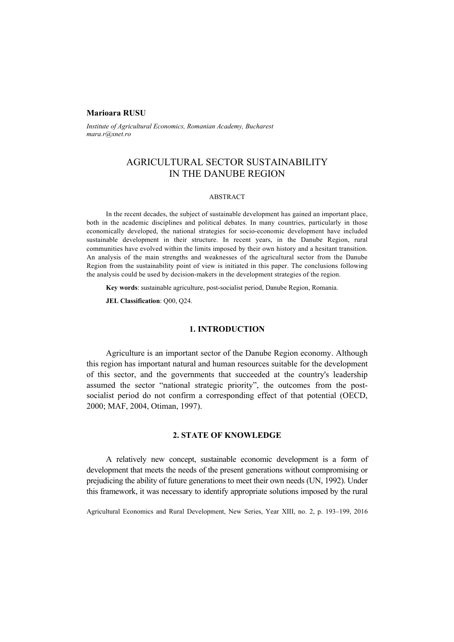### **Marioara RUSU**

*Institute of Agricultural Economics, Romanian Academy, Bucharest mara.r@xnet.ro* 

# AGRICULTURAL SECTOR SUSTAINABILITY IN THE DANUBE REGION

#### ABSTRACT

In the recent decades, the subject of sustainable development has gained an important place, both in the academic disciplines and political debates. In many countries, particularly in those economically developed, the national strategies for socio-economic development have included sustainable development in their structure. In recent years, in the Danube Region, rural communities have evolved within the limits imposed by their own history and a hesitant transition. An analysis of the main strengths and weaknesses of the agricultural sector from the Danube Region from the sustainability point of view is initiated in this paper. The conclusions following the analysis could be used by decision-makers in the development strategies of the region.

**Key words**: sustainable agriculture, post-socialist period, Danube Region, Romania.

**JEL Classification**: Q00, Q24.

### **1. INTRODUCTION**

Agriculture is an important sector of the Danube Region economy. Although this region has important natural and human resources suitable for the development of this sector, and the governments that succeeded at the country's leadership assumed the sector "national strategic priority", the outcomes from the postsocialist period do not confirm a corresponding effect of that potential (OECD, 2000; MAF, 2004, Otiman, 1997).

# **2. STATE OF KNOWLEDGE**

A relatively new concept, sustainable economic development is a form of development that meets the needs of the present generations without compromising or prejudicing the ability of future generations to meet their own needs (UN, 1992). Under this framework, it was necessary to identify appropriate solutions imposed by the rural

Agricultural Economics and Rural Development, New Series, Year XIII, no. 2, p. 193–199, 2016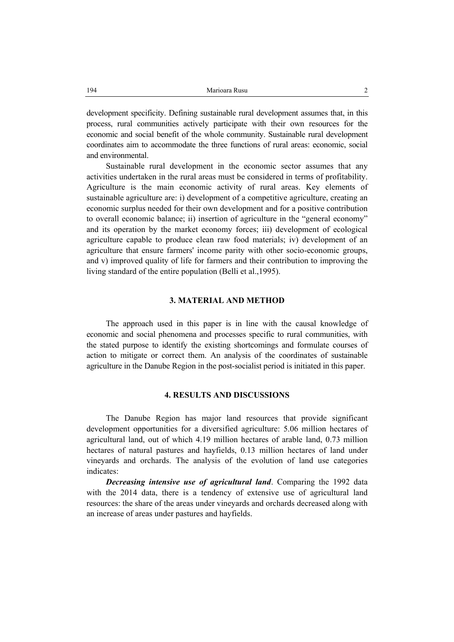development specificity. Defining sustainable rural development assumes that, in this process, rural communities actively participate with their own resources for the economic and social benefit of the whole community. Sustainable rural development coordinates aim to accommodate the three functions of rural areas: economic, social and environmental.

Sustainable rural development in the economic sector assumes that any activities undertaken in the rural areas must be considered in terms of profitability. Agriculture is the main economic activity of rural areas. Key elements of sustainable agriculture are: i) development of a competitive agriculture, creating an economic surplus needed for their own development and for a positive contribution to overall economic balance; ii) insertion of agriculture in the "general economy" and its operation by the market economy forces; iii) development of ecological agriculture capable to produce clean raw food materials; iv) development of an agriculture that ensure farmers' income parity with other socio-economic groups, and v) improved quality of life for farmers and their contribution to improving the living standard of the entire population (Belli et al.,1995).

# **3. MATERIAL AND METHOD**

The approach used in this paper is in line with the causal knowledge of economic and social phenomena and processes specific to rural communities, with the stated purpose to identify the existing shortcomings and formulate courses of action to mitigate or correct them. An analysis of the coordinates of sustainable agriculture in the Danube Region in the post-socialist period is initiated in this paper.

# **4. RESULTS AND DISCUSSIONS**

The Danube Region has major land resources that provide significant development opportunities for a diversified agriculture: 5.06 million hectares of agricultural land, out of which 4.19 million hectares of arable land, 0.73 million hectares of natural pastures and hayfields, 0.13 million hectares of land under vineyards and orchards. The analysis of the evolution of land use categories indicates:

*Decreasing intensive use of agricultural land*. Comparing the 1992 data with the 2014 data, there is a tendency of extensive use of agricultural land resources: the share of the areas under vineyards and orchards decreased along with an increase of areas under pastures and hayfields.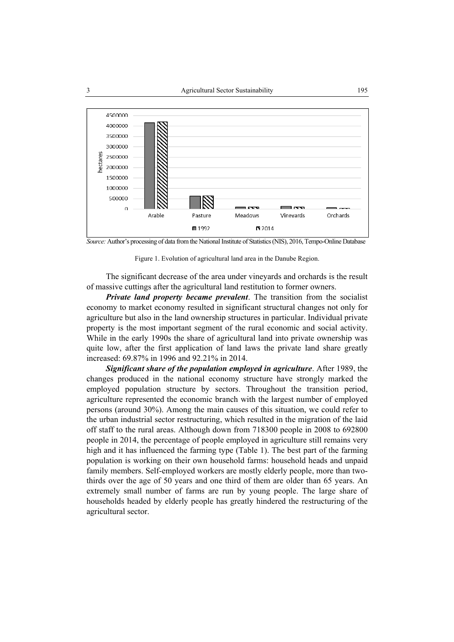

*Source:* Author's processing of data from the National Institute of Statistics (NIS), 2016, Tempo-Online Database

Figure 1. Evolution of agricultural land area in the Danube Region.

The significant decrease of the area under vineyards and orchards is the result of massive cuttings after the agricultural land restitution to former owners.

*Private land property became prevalent*. The transition from the socialist economy to market economy resulted in significant structural changes not only for agriculture but also in the land ownership structures in particular. Individual private property is the most important segment of the rural economic and social activity. While in the early 1990s the share of agricultural land into private ownership was quite low, after the first application of land laws the private land share greatly increased: 69.87% in 1996 and 92.21% in 2014.

*Significant share of the population employed in agriculture*. After 1989, the changes produced in the national economy structure have strongly marked the employed population structure by sectors. Throughout the transition period, agriculture represented the economic branch with the largest number of employed persons (around 30%). Among the main causes of this situation, we could refer to the urban industrial sector restructuring, which resulted in the migration of the laid off staff to the rural areas. Although down from 718300 people in 2008 to 692800 people in 2014, the percentage of people employed in agriculture still remains very high and it has influenced the farming type (Table 1). The best part of the farming population is working on their own household farms: household heads and unpaid family members. Self-employed workers are mostly elderly people, more than twothirds over the age of 50 years and one third of them are older than 65 years. An extremely small number of farms are run by young people. The large share of households headed by elderly people has greatly hindered the restructuring of the agricultural sector.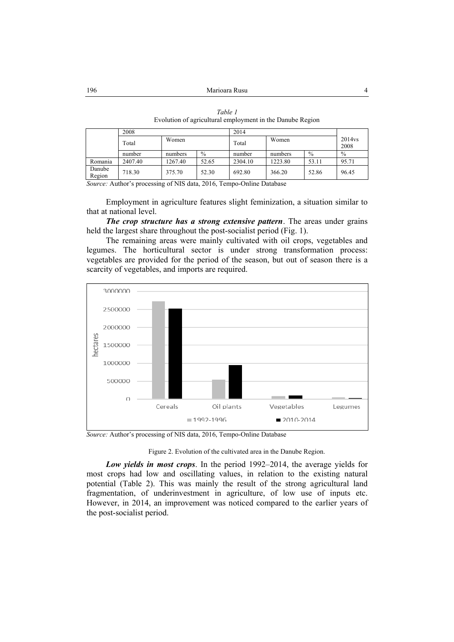|                  | 2008    |         |               | 2014    |         |               |                            |
|------------------|---------|---------|---------------|---------|---------|---------------|----------------------------|
|                  | Total   | Women   |               | Total   | Women   |               | 2014 <sub>vs</sub><br>2008 |
|                  | number  | numbers | $\frac{0}{0}$ | number  | numbers | $\frac{0}{0}$ | $\frac{0}{0}$              |
| Romania          | 2407.40 | 1267.40 | 52.65         | 2304.10 | 1223.80 | 53.11         | 95.71                      |
| Danube<br>Region | 718.30  | 375.70  | 52.30         | 692.80  | 366.20  | 52.86         | 96.45                      |

*Table 1*  Evolution of agricultural employment in the Danube Region

*Source:* Author's processing of NIS data, 2016, Tempo-Online Database

Employment in agriculture features slight feminization, a situation similar to that at national level.

*The crop structure has a strong extensive pattern*. The areas under grains held the largest share throughout the post-socialist period (Fig. 1).

The remaining areas were mainly cultivated with oil crops, vegetables and legumes. The horticultural sector is under strong transformation process: vegetables are provided for the period of the season, but out of season there is a scarcity of vegetables, and imports are required.



*Source:* Author's processing of NIS data, 2016, Tempo-Online Database

Figure 2. Evolution of the cultivated area in the Danube Region.

*Low yields in most crops*. In the period 1992–2014, the average yields for most crops had low and oscillating values, in relation to the existing natural potential (Table 2). This was mainly the result of the strong agricultural land fragmentation, of underinvestment in agriculture, of low use of inputs etc. However, in 2014, an improvement was noticed compared to the earlier years of the post-socialist period.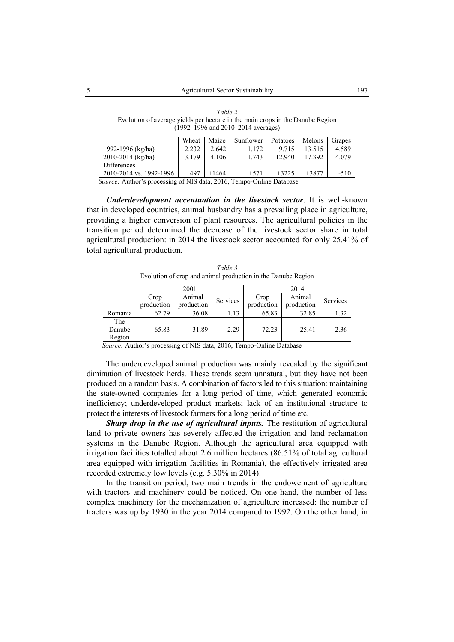*Table 2*  Evolution of average yields per hectare in the main crops in the Danube Region (1992–1996 and 2010–2014 averages)

|                         | Wheat  | Maize | Sunflower | Potatoes | Melons  | Grapes |
|-------------------------|--------|-------|-----------|----------|---------|--------|
| 1992-1996 (kg/ha)       | 2.232  | 2.642 | .172      | 9.715    | 13.515  | 4.589  |
| $2010 - 2014$ (kg/ha)   | 3.179  | 4.106 | .743      | 12.940   | 17.392  | 4.079  |
| Differences             |        |       |           |          |         |        |
| 2010-2014 vs. 1992-1996 | $+497$ | +1464 | $+571$    | $+3225$  | $+3877$ | $-510$ |

 *Source:* Author's processing of NIS data, 2016, Tempo-Online Database

*Underdevelopment accentuation in the livestock sector*. It is well-known that in developed countries, animal husbandry has a prevailing place in agriculture, providing a higher conversion of plant resources. The agricultural policies in the transition period determined the decrease of the livestock sector share in total agricultural production: in 2014 the livestock sector accounted for only 25.41% of total agricultural production.

*Table 3*  Evolution of crop and animal production in the Danube Region

|         |            | 2001       |          | 2014       |            |                 |  |
|---------|------------|------------|----------|------------|------------|-----------------|--|
|         | Crop       | Animal     | Services | Crop       | Animal     | <b>Services</b> |  |
|         | production | production |          | production | production |                 |  |
| Romania | 62.79      | 36.08      | 1.13     | 65.83      | 32.85      | .32             |  |
| The     |            |            |          |            |            |                 |  |
| Danube  | 65.83      | 31.89      | 2.29     | 72.23      | 25.41      | 2.36            |  |
| Region  |            |            |          |            |            |                 |  |

 *Source:* Author's processing of NIS data, 2016, Tempo-Online Database

The underdeveloped animal production was mainly revealed by the significant diminution of livestock herds. These trends seem unnatural, but they have not been produced on a random basis. A combination of factors led to this situation: maintaining the state-owned companies for a long period of time, which generated economic inefficiency; underdeveloped product markets; lack of an institutional structure to protect the interests of livestock farmers for a long period of time etc.

*Sharp drop in the use of agricultural inputs.* The restitution of agricultural land to private owners has severely affected the irrigation and land reclamation systems in the Danube Region. Although the agricultural area equipped with irrigation facilities totalled about 2.6 million hectares (86.51% of total agricultural area equipped with irrigation facilities in Romania), the effectively irrigated area recorded extremely low levels (e.g. 5.30% in 2014).

In the transition period, two main trends in the endowement of agriculture with tractors and machinery could be noticed. On one hand, the number of less complex machinery for the mechanization of agriculture increased: the number of tractors was up by 1930 in the year 2014 compared to 1992. On the other hand, in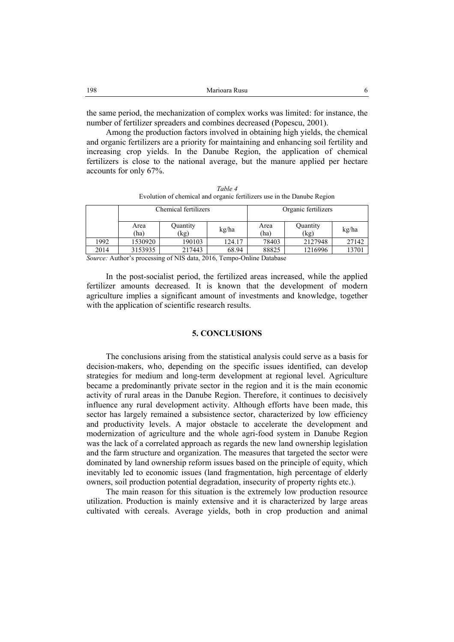| 198 | Marioara Rusu |  |
|-----|---------------|--|
|     |               |  |

the same period, the mechanization of complex works was limited: for instance, the number of fertilizer spreaders and combines decreased (Popescu, 2001).

Among the production factors involved in obtaining high yields, the chemical and organic fertilizers are a priority for maintaining and enhancing soil fertility and increasing crop yields. In the Danube Region, the application of chemical fertilizers is close to the national average, but the manure applied per hectare accounts for only 67%.

*Table 4* 

| $\mu$ une +                                                            |
|------------------------------------------------------------------------|
| Evolution of chemical and organic fertilizers use in the Danube Region |
|                                                                        |

|      |              | Chemical fertilizers |        | Organic fertilizers |                  |       |  |
|------|--------------|----------------------|--------|---------------------|------------------|-------|--|
|      | Area<br>(ha) | Quantity<br>(kg)     | kg/ha  | Area<br>ha)         | Quantity<br>(kg) | kg/ha |  |
| 1992 | 1530920      | 190103               | 124.17 | 78403               | 2127948          | 27142 |  |
| 2014 | 3153935      | 217443               | 68.94  | 88825               | 1216996          | 3701  |  |

*Source:* Author's processing of NIS data, 2016, Tempo-Online Database

In the post-socialist period, the fertilized areas increased, while the applied fertilizer amounts decreased. It is known that the development of modern agriculture implies a significant amount of investments and knowledge, together with the application of scientific research results.

# **5. CONCLUSIONS**

The conclusions arising from the statistical analysis could serve as a basis for decision-makers, who, depending on the specific issues identified, can develop strategies for medium and long-term development at regional level. Agriculture became a predominantly private sector in the region and it is the main economic activity of rural areas in the Danube Region. Therefore, it continues to decisively influence any rural development activity. Although efforts have been made, this sector has largely remained a subsistence sector, characterized by low efficiency and productivity levels. A major obstacle to accelerate the development and modernization of agriculture and the whole agri-food system in Danube Region was the lack of a correlated approach as regards the new land ownership legislation and the farm structure and organization. The measures that targeted the sector were dominated by land ownership reform issues based on the principle of equity, which inevitably led to economic issues (land fragmentation, high percentage of elderly owners, soil production potential degradation, insecurity of property rights etc.).

The main reason for this situation is the extremely low production resource utilization. Production is mainly extensive and it is characterized by large areas cultivated with cereals. Average yields, both in crop production and animal